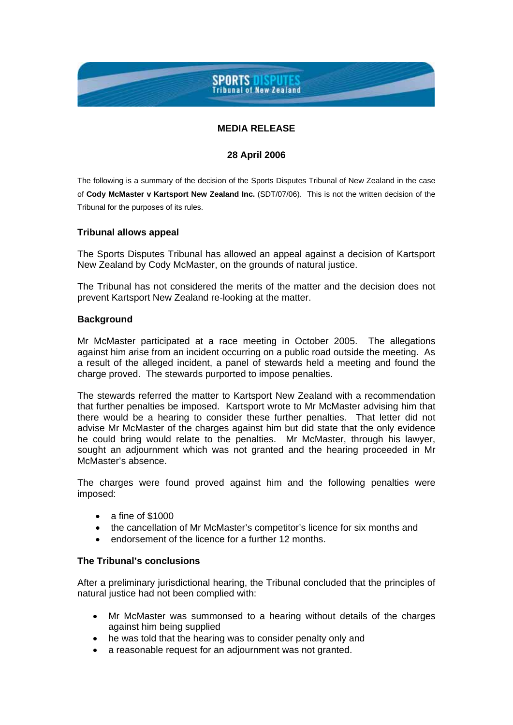# **SPORTS DISPUTES**<br>Tribunal of New Zealand

# **MEDIA RELEASE**

### **28 April 2006**

The following is a summary of the decision of the Sports Disputes Tribunal of New Zealand in the case of **Cody McMaster v Kartsport New Zealand Inc.** (SDT/07/06). This is not the written decision of the Tribunal for the purposes of its rules.

### **Tribunal allows appeal**

The Sports Disputes Tribunal has allowed an appeal against a decision of Kartsport New Zealand by Cody McMaster, on the grounds of natural justice.

The Tribunal has not considered the merits of the matter and the decision does not prevent Kartsport New Zealand re-looking at the matter.

#### **Background**

Mr McMaster participated at a race meeting in October 2005. The allegations against him arise from an incident occurring on a public road outside the meeting. As a result of the alleged incident, a panel of stewards held a meeting and found the charge proved. The stewards purported to impose penalties.

The stewards referred the matter to Kartsport New Zealand with a recommendation that further penalties be imposed. Kartsport wrote to Mr McMaster advising him that there would be a hearing to consider these further penalties. That letter did not advise Mr McMaster of the charges against him but did state that the only evidence he could bring would relate to the penalties. Mr McMaster, through his lawyer, sought an adjournment which was not granted and the hearing proceeded in Mr McMaster's absence.

The charges were found proved against him and the following penalties were imposed:

- $\bullet$  a fine of \$1000
- the cancellation of Mr McMaster's competitor's licence for six months and
- endorsement of the licence for a further 12 months.

# **The Tribunal's conclusions**

After a preliminary jurisdictional hearing, the Tribunal concluded that the principles of natural justice had not been complied with:

- Mr McMaster was summonsed to a hearing without details of the charges against him being supplied
- he was told that the hearing was to consider penalty only and
- a reasonable request for an adjournment was not granted.